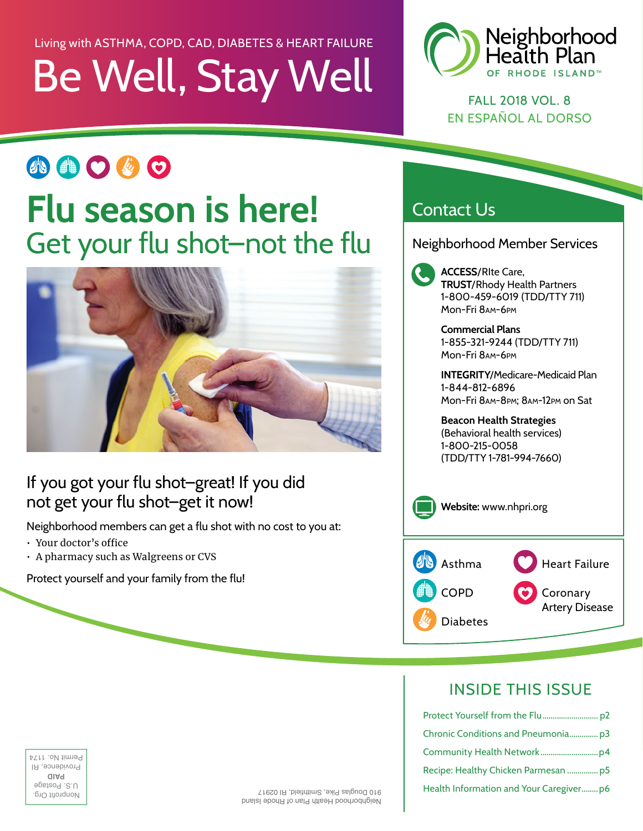## Be Well, Stay Well Living with ASTHMA, COPD, CAD, DIABETES & HEART FAILURE



FALL 2018 VOL. 8 EN ESPAÑOL AL DORSO

# 小曲〇必〇 **Flu season is here!** Get your flu shot–not the flu



### If you got your flu shot–great! If you did not get your flu shot–get it now!

Neighborhood members can get a flu shot with no cost to you at:

- Your doctor's office
- A pharmacy such as Walgreens or CVS

Protect yourself and your family from the flu!

### Contact Us

Neighborhood Member Services

**ACCESS**/RIte Care, **TRUST**/Rhody Health Partners 1-800-459-6019 (TDD/TTY 711) Mon-Fri 8am-6pm

**Commercial Plans** 1-855-321-9244 (TDD/TTY 711) Mon-Fri 8am-6pm

**INTEGRITY**/Medicare-Medicaid Plan 1-844-812-6896 Mon-Fri 8am-8pm; 8am-12pm on Sat

**Beacon Health Strategies** (Behavioral health services) 1-800-215-0058 (TDD/TTY 1-781-994-7660)



### INSIDE THIS ISSUE

| Protect Yourself from the Flup2         |
|-----------------------------------------|
| Ehronic Conditions and Pneumoniap3      |
| Community Health Networkp4              |
| Recipe: Healthy Chicken Parmesan p5     |
| Health Information and Your Caregiverp6 |

Nonprofit Org. U.S. Postage **PAID** Providence, RI Permit No. 1174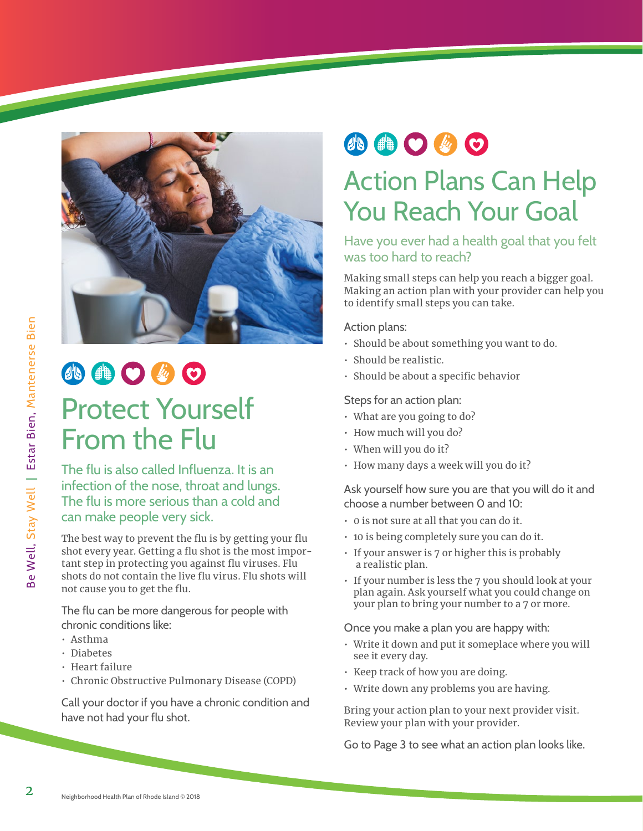

## 小曲〇必〇 Protect Yourself From the Flu

The flu is also called Influenza. It is an infection of the nose, throat and lungs. The flu is more serious than a cold and can make people very sick.

The best way to prevent the flu is by getting your flu shot every year. Getting a flu shot is the most important step in protecting you against flu viruses. Flu shots do not contain the live flu virus. Flu shots will not cause you to get the flu.

The flu can be more dangerous for people with chronic conditions like:

- Asthma
- Diabetes
- Heart failure
- Chronic Obstructive Pulmonary Disease (COPD)

Call your doctor if you have a chronic condition and have not had your flu shot.

## 小曲〇必〇

## Action Plans Can Help You Reach Your Goal

#### Have you ever had a health goal that you felt was too hard to reach?

Making small steps can help you reach a bigger goal. Making an action plan with your provider can help you to identify small steps you can take.

Action plans:

- Should be about something you want to do.
- Should be realistic.
- Should be about a specific behavior

#### Steps for an action plan:

- What are you going to do?
- How much will you do?
- When will you do it?
- How many days a week will you do it?

#### Ask yourself how sure you are that you will do it and choose a number between 0 and 10:

- 0 is not sure at all that you can do it.
- 10 is being completely sure you can do it.
- If your answer is 7 or higher this is probably a realistic plan.
- If your number is less the 7 you should look at your plan again. Ask yourself what you could change on your plan to bring your number to a 7 or more.

Once you make a plan you are happy with:

- Write it down and put it someplace where you will see it every day.
- Keep track of how you are doing.
- Write down any problems you are having.

Bring your action plan to your next provider visit. Review your plan with your provider.

Go to Page 3 to see what an action plan looks like.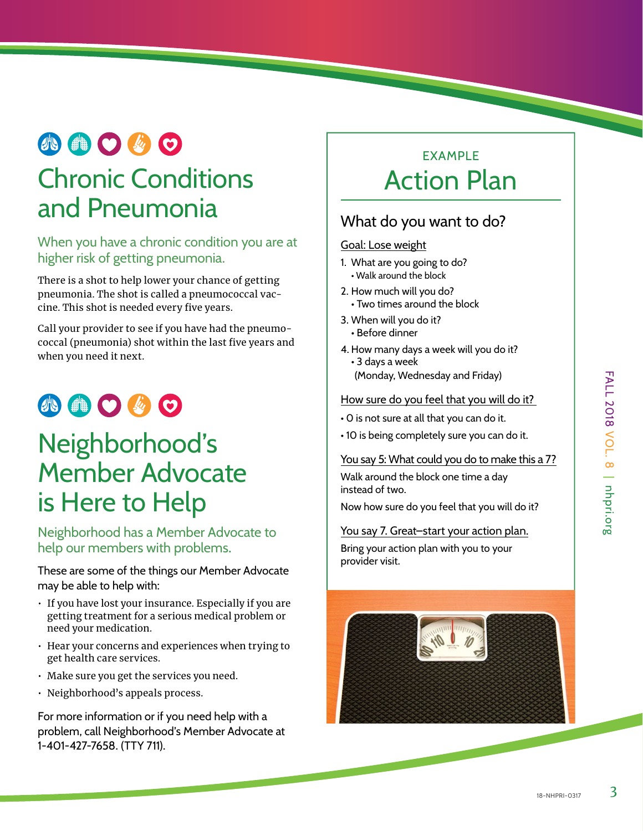## **AOOOO**

## Chronic Conditions and Pneumonia

When you have a chronic condition you are at higher risk of getting pneumonia.

There is a shot to help lower your chance of getting pneumonia. The shot is called a pneumococcal vaccine. This shot is needed every five years.

Call your provider to see if you have had the pneumococcal (pneumonia) shot within the last five years and when you need it next.

## **AOOOO**

## Neighborhood's Member Advocate is Here to Help

Neighborhood has a Member Advocate to help our members with problems.

These are some of the things our Member Advocate may be able to help with:

- If you have lost your insurance. Especially if you are getting treatment for a serious medical problem or need your medication.
- Hear your concerns and experiences when trying to get health care services.
- Make sure you get the services you need.
- Neighborhood's appeals process.

For more information or if you need help with a problem, call Neighborhood's Member Advocate at 1-401-427-7658. (TTY 711).

### **EXAMPLE** Action Plan

### What do you want to do?

#### Goal: Lose weight

- 1. What are you going to do? • Walk around the block
- 2. How much will you do?
- Two times around the block
- 3. When will you do it?
	- Before dinner
- 4. How many days a week will you do it? • 3 days a week
	- (Monday, Wednesday and Friday)

#### How sure do you feel that you will do it?

- 0 is not sure at all that you can do it.
- 10 is being completely sure you can do it.

#### You say 5: What could you do to make this a 7?

Walk around the block one time a day instead of two.

Now how sure do you feel that you will do it?

#### You say 7. Great–start your action plan.

Bring your action plan with you to your provider visit.

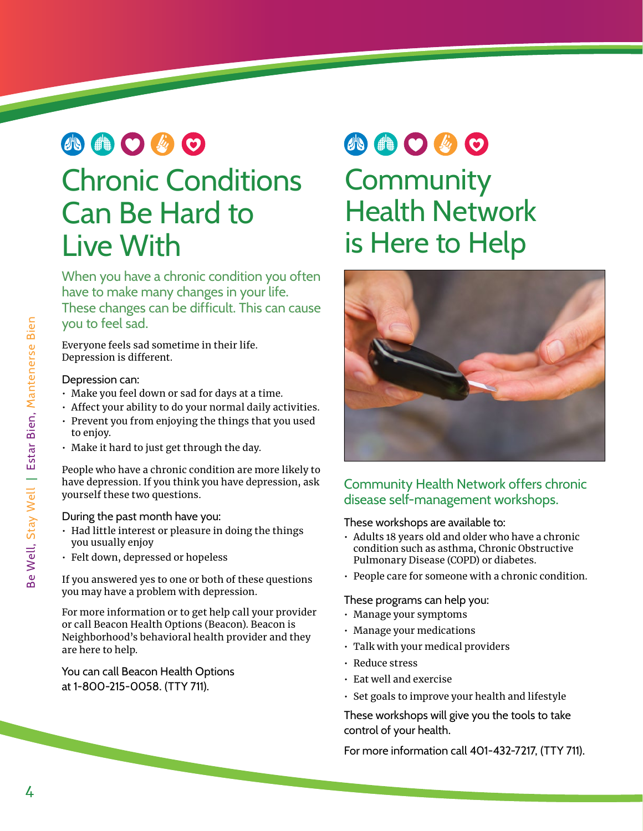# 小曲〇を〇 Chronic Conditions

# Can Be Hard to Live With

When you have a chronic condition you often have to make many changes in your life. These changes can be difficult. This can cause you to feel sad.

Everyone feels sad sometime in their life. Depression is different.

#### Depression can:

- Make you feel down or sad for days at a time.
- Affect your ability to do your normal daily activities.
- Prevent you from enjoying the things that you used to enjoy.
- Make it hard to just get through the day.

People who have a chronic condition are more likely to have depression. If you think you have depression, ask yourself these two questions.

During the past month have you:

- Had little interest or pleasure in doing the things you usually enjoy
- Felt down, depressed or hopeless

If you answered yes to one or both of these questions you may have a problem with depression.

For more information or to get help call your provider or call Beacon Health Options (Beacon). Beacon is Neighborhood's behavioral health provider and they are here to help.

You can call Beacon Health Options at 1-800-215-0058. (TTY 711).

# 小曲〇少〇

**Community** Health Network is Here to Help



### Community Health Network offers chronic disease self-management workshops.

These workshops are available to:

- Adults 18 years old and older who have a chronic condition such as asthma, Chronic Obstructive Pulmonary Disease (COPD) or diabetes.
- People care for someone with a chronic condition.

These programs can help you:

- Manage your symptoms
- Manage your medications
- Talk with your medical providers
- Reduce stress
- Eat well and exercise
- Set goals to improve your health and lifestyle

These workshops will give you the tools to take control of your health.

For more information call [401-432-7217,](tel:401-432-7217) (TTY 711).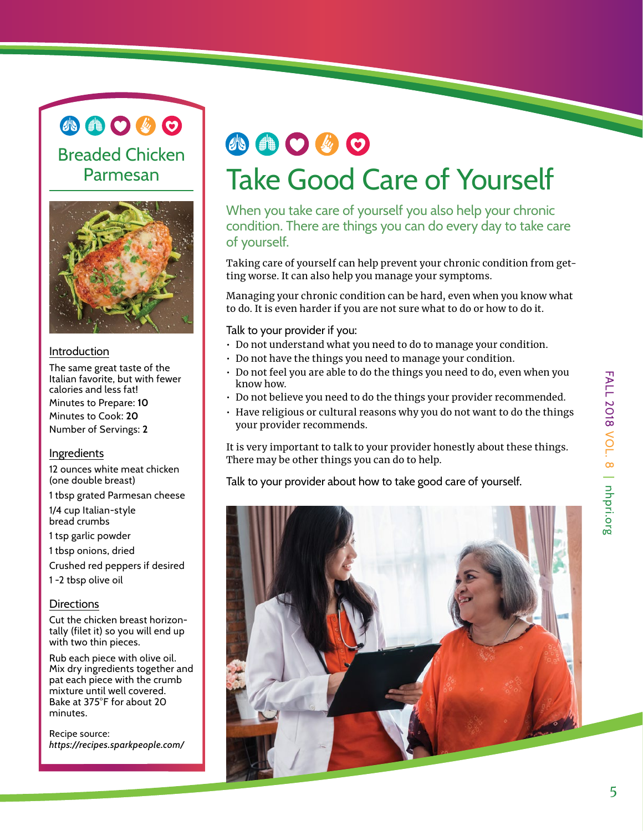小曲〇必〇

Breaded Chicken Parmesan



#### Introduction

The same great taste of the Italian favorite, but with fewer calories and less fat! Minutes to Prepare: **10** Minutes to Cook: **20** Number of Servings: **2**

#### Ingredients

12 ounces white meat chicken (one double breast)

1 tbsp grated Parmesan cheese

1/4 cup Italian-style bread crumbs

1 tsp garlic powder

1 tbsp onions, dried

Crushed red peppers if desired

1 -2 tbsp olive oil

#### **Directions**

Cut the chicken breast horizontally (filet it) so you will end up with two thin pieces.

Rub each piece with olive oil. Mix dry ingredients together and pat each piece with the crumb mixture until well covered. Bake at 375°F for about 20 minutes.

Recipe source: *<https://recipes.sparkpeople.com/>*

## 小曲〇岁〇 Take Good Care of Yourself

When you take care of yourself you also help your chronic condition. There are things you can do every day to take care of yourself.

Taking care of yourself can help prevent your chronic condition from getting worse. It can also help you manage your symptoms.

Managing your chronic condition can be hard, even when you know what to do. It is even harder if you are not sure what to do or how to do it.

Talk to your provider if you:

- Do not understand what you need to do to manage your condition.
- Do not have the things you need to manage your condition.
- Do not feel you are able to do the things you need to do, even when you know how.
- Do not believe you need to do the things your provider recommended.
- Have religious or cultural reasons why you do not want to do the things your provider recommends.

It is very important to talk to your provider honestly about these things. There may be other things you can do to help.

Talk to your provider about how to take good care of yourself.